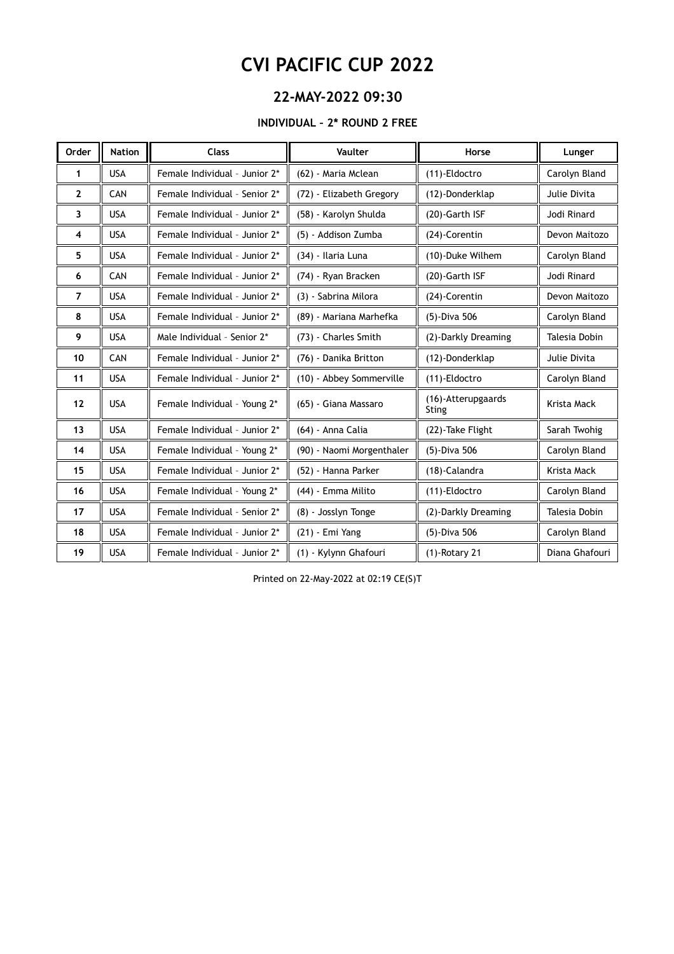### **22-MAY-2022 09:30**

#### **INDIVIDUAL – 2\* ROUND 2 FREE**

| Order        | <b>Nation</b> | <b>Class</b>                  | Vaulter                   | Horse                       | Lunger         |
|--------------|---------------|-------------------------------|---------------------------|-----------------------------|----------------|
| 1            | <b>USA</b>    | Female Individual - Junior 2* | (62) - Maria Mclean       | (11)-Eldoctro               | Carolyn Bland  |
| $\mathbf{2}$ | CAN           | Female Individual - Senior 2* | (72) - Elizabeth Gregory  | (12)-Donderklap             | Julie Divita   |
| 3            | <b>USA</b>    | Female Individual - Junior 2* | (58) - Karolyn Shulda     | (20)-Garth ISF              | Jodi Rinard    |
| 4            | <b>USA</b>    | Female Individual - Junior 2* | (5) - Addison Zumba       | (24)-Corentin               | Devon Maitozo  |
| 5            | <b>USA</b>    | Female Individual - Junior 2* | (34) - Ilaria Luna        | (10)-Duke Wilhem            | Carolyn Bland  |
| 6            | CAN           | Female Individual - Junior 2* | (74) - Ryan Bracken       | (20)-Garth ISF              | Jodi Rinard    |
| 7            | <b>USA</b>    | Female Individual - Junior 2* | (3) - Sabrina Milora      | (24)-Corentin               | Devon Maitozo  |
| 8            | <b>USA</b>    | Female Individual - Junior 2* | (89) - Mariana Marhefka   | (5)-Diva 506                | Carolyn Bland  |
| 9            | <b>USA</b>    | Male Individual - Senior 2*   | (73) - Charles Smith      | (2)-Darkly Dreaming         | Talesia Dobin  |
| 10           | CAN           | Female Individual - Junior 2* | (76) - Danika Britton     | (12)-Donderklap             | Julie Divita   |
| 11           | <b>USA</b>    | Female Individual - Junior 2* | (10) - Abbey Sommerville  | (11)-Eldoctro               | Carolyn Bland  |
| 12           | <b>USA</b>    | Female Individual - Young 2*  | (65) - Giana Massaro      | (16)-Atterupgaards<br>Sting | Krista Mack    |
| 13           | <b>USA</b>    | Female Individual - Junior 2* | (64) - Anna Calia         | (22)-Take Flight            | Sarah Twohig   |
| 14           | <b>USA</b>    | Female Individual - Young 2*  | (90) - Naomi Morgenthaler | (5)-Diva 506                | Carolyn Bland  |
| 15           | <b>USA</b>    | Female Individual - Junior 2* | (52) - Hanna Parker       | (18)-Calandra               | Krista Mack    |
| 16           | <b>USA</b>    | Female Individual - Young 2*  | (44) - Emma Milito        | (11)-Eldoctro               | Carolyn Bland  |
| 17           | <b>USA</b>    | Female Individual - Senior 2* | (8) - Josslyn Tonge       | (2)-Darkly Dreaming         | Talesia Dobin  |
| 18           | <b>USA</b>    | Female Individual - Junior 2* | (21) - Emi Yang           | (5)-Diva 506                | Carolyn Bland  |
| 19           | <b>USA</b>    | Female Individual - Junior 2* | (1) - Kylynn Ghafouri     | $(1)$ -Rotary 21            | Diana Ghafouri |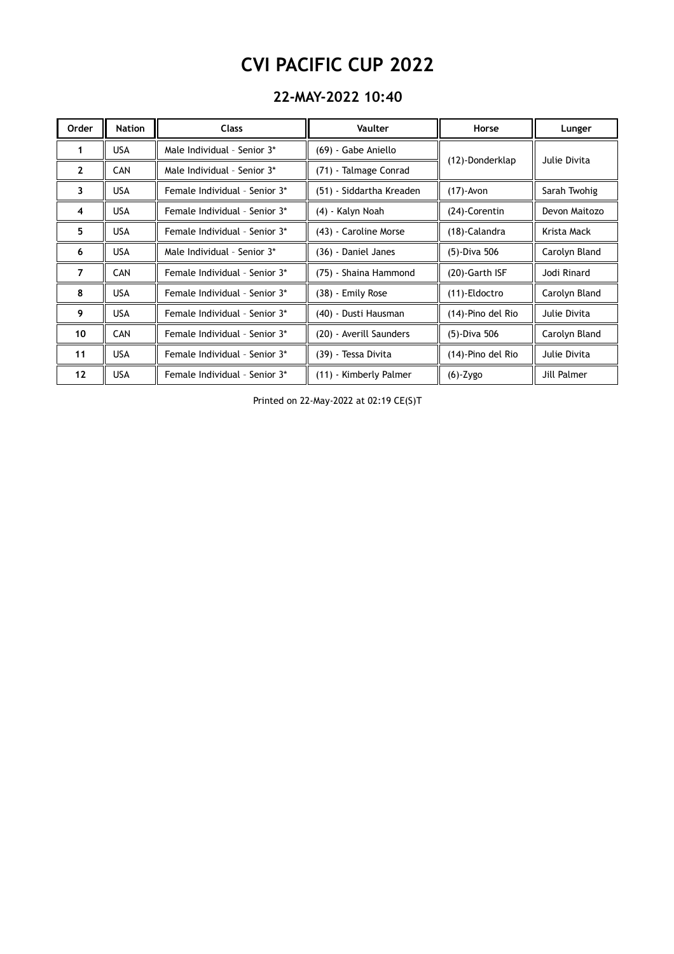### **22-MAY-2022 10:40**

| Order          | <b>Nation</b> | <b>Class</b>                  | <b>Vaulter</b>           | Horse             | Lunger        |
|----------------|---------------|-------------------------------|--------------------------|-------------------|---------------|
| 1              | <b>USA</b>    | Male Individual - Senior 3*   | (69) - Gabe Aniello      |                   | Julie Divita  |
| $\mathbf{2}$   | <b>CAN</b>    | Male Individual - Senior 3*   | (71) - Talmage Conrad    | (12)-Donderklap   |               |
| 3              | <b>USA</b>    | Female Individual - Senior 3* | (51) - Siddartha Kreaden | $(17)$ -Avon      | Sarah Twohig  |
| 4              | <b>USA</b>    | Female Individual - Senior 3* | (4) - Kalyn Noah         | (24)-Corentin     | Devon Maitozo |
| 5              | <b>USA</b>    | Female Individual - Senior 3* | (43) - Caroline Morse    | (18)-Calandra     | Krista Mack   |
| 6              | <b>USA</b>    | Male Individual - Senior 3*   | (36) - Daniel Janes      | (5)-Diva 506      | Carolyn Bland |
| $\overline{7}$ | <b>CAN</b>    | Female Individual - Senior 3* | (75) - Shaina Hammond    | (20)-Garth ISF    | Jodi Rinard   |
| 8              | <b>USA</b>    | Female Individual - Senior 3* | (38) - Emily Rose        | (11)-Eldoctro     | Carolyn Bland |
| 9              | <b>USA</b>    | Female Individual - Senior 3* | (40) - Dusti Hausman     | (14)-Pino del Rio | Julie Divita  |
| 10             | <b>CAN</b>    | Female Individual - Senior 3* | (20) - Averill Saunders  | (5)-Diva 506      | Carolyn Bland |
| 11             | <b>USA</b>    | Female Individual - Senior 3* | (39) - Tessa Divita      | (14)-Pino del Rio | Julie Divita  |
| 12             | <b>USA</b>    | Female Individual - Senior 3* | (11) - Kimberly Palmer   | $(6)$ -Zygo       | Jill Palmer   |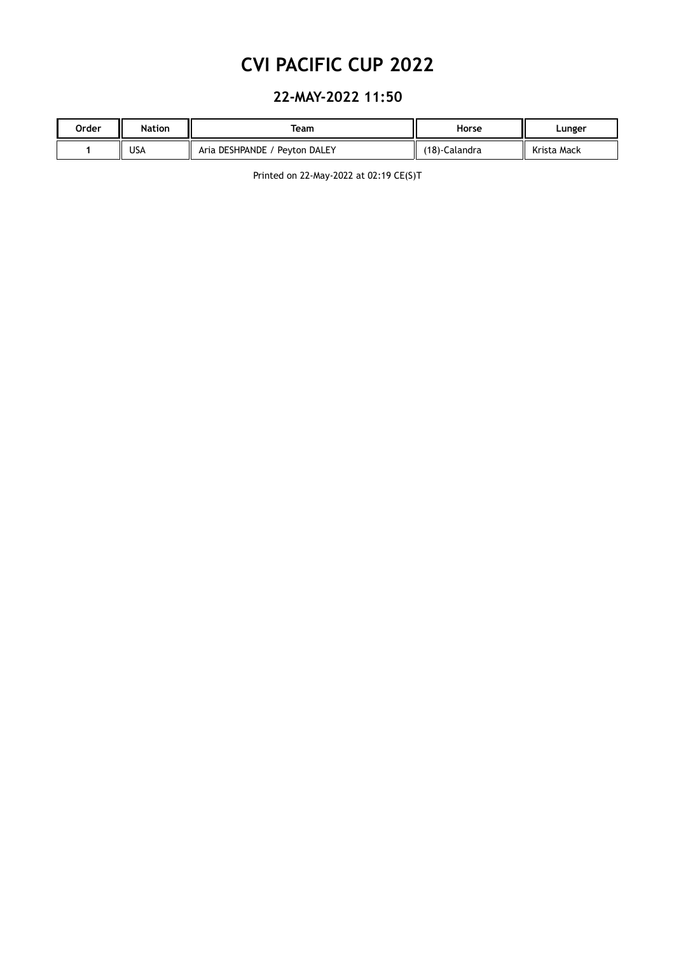### **22-MAY-2022 11:50**

| Order | <b>Nation</b> | Team                          | Horse         | Lunger      |
|-------|---------------|-------------------------------|---------------|-------------|
|       | USA           | Aria DESHPANDE / Peyton DALEY | (18)-Calandra | Krista Mack |